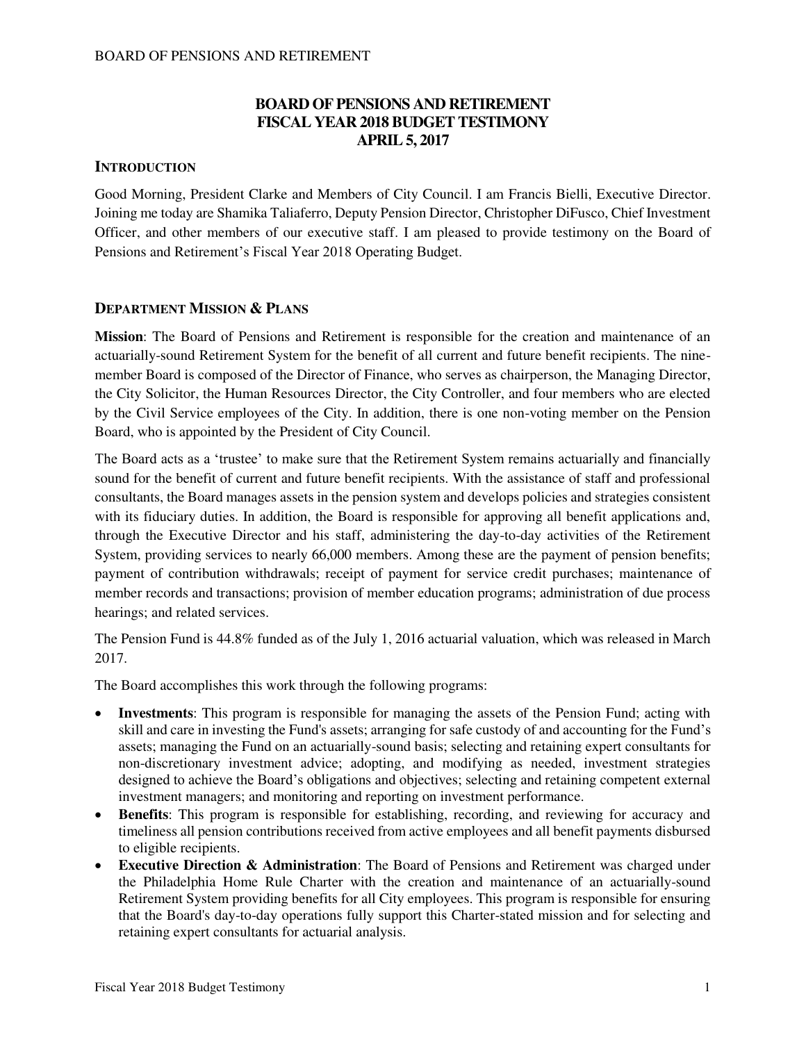## **BOARD OF PENSIONS AND RETIREMENT FISCAL YEAR 2018 BUDGET TESTIMONY APRIL 5, 2017**

### **INTRODUCTION**

Good Morning, President Clarke and Members of City Council. I am Francis Bielli, Executive Director. Joining me today are Shamika Taliaferro, Deputy Pension Director, Christopher DiFusco, Chief Investment Officer, and other members of our executive staff. I am pleased to provide testimony on the Board of Pensions and Retirement's Fiscal Year 2018 Operating Budget.

#### **DEPARTMENT MISSION & PLANS**

**Mission**: The Board of Pensions and Retirement is responsible for the creation and maintenance of an actuarially-sound Retirement System for the benefit of all current and future benefit recipients. The ninemember Board is composed of the Director of Finance, who serves as chairperson, the Managing Director, the City Solicitor, the Human Resources Director, the City Controller, and four members who are elected by the Civil Service employees of the City. In addition, there is one non-voting member on the Pension Board, who is appointed by the President of City Council.

The Board acts as a 'trustee' to make sure that the Retirement System remains actuarially and financially sound for the benefit of current and future benefit recipients. With the assistance of staff and professional consultants, the Board manages assets in the pension system and develops policies and strategies consistent with its fiduciary duties. In addition, the Board is responsible for approving all benefit applications and, through the Executive Director and his staff, administering the day-to-day activities of the Retirement System, providing services to nearly 66,000 members. Among these are the payment of pension benefits; payment of contribution withdrawals; receipt of payment for service credit purchases; maintenance of member records and transactions; provision of member education programs; administration of due process hearings; and related services.

The Pension Fund is 44.8% funded as of the July 1, 2016 actuarial valuation, which was released in March 2017.

The Board accomplishes this work through the following programs:

- **Investments**: This program is responsible for managing the assets of the Pension Fund; acting with skill and care in investing the Fund's assets; arranging for safe custody of and accounting for the Fund's assets; managing the Fund on an actuarially-sound basis; selecting and retaining expert consultants for non-discretionary investment advice; adopting, and modifying as needed, investment strategies designed to achieve the Board's obligations and objectives; selecting and retaining competent external investment managers; and monitoring and reporting on investment performance.
- **Benefits**: This program is responsible for establishing, recording, and reviewing for accuracy and timeliness all pension contributions received from active employees and all benefit payments disbursed to eligible recipients.
- **Executive Direction & Administration**: The Board of Pensions and Retirement was charged under the Philadelphia Home Rule Charter with the creation and maintenance of an actuarially-sound Retirement System providing benefits for all City employees. This program is responsible for ensuring that the Board's day-to-day operations fully support this Charter-stated mission and for selecting and retaining expert consultants for actuarial analysis.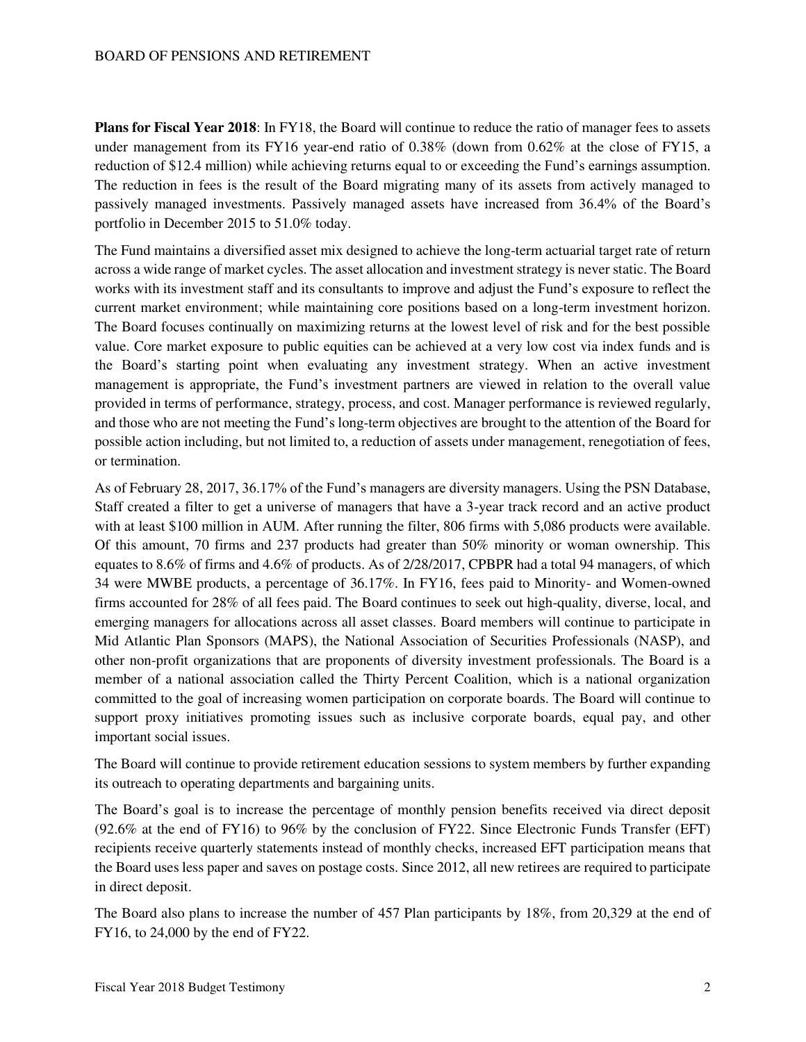**Plans for Fiscal Year 2018**: In FY18, the Board will continue to reduce the ratio of manager fees to assets under management from its FY16 year-end ratio of 0.38% (down from 0.62% at the close of FY15, a reduction of \$12.4 million) while achieving returns equal to or exceeding the Fund's earnings assumption. The reduction in fees is the result of the Board migrating many of its assets from actively managed to passively managed investments. Passively managed assets have increased from 36.4% of the Board's portfolio in December 2015 to 51.0% today.

The Fund maintains a diversified asset mix designed to achieve the long-term actuarial target rate of return across a wide range of market cycles. The asset allocation and investment strategy is never static. The Board works with its investment staff and its consultants to improve and adjust the Fund's exposure to reflect the current market environment; while maintaining core positions based on a long-term investment horizon. The Board focuses continually on maximizing returns at the lowest level of risk and for the best possible value. Core market exposure to public equities can be achieved at a very low cost via index funds and is the Board's starting point when evaluating any investment strategy. When an active investment management is appropriate, the Fund's investment partners are viewed in relation to the overall value provided in terms of performance, strategy, process, and cost. Manager performance is reviewed regularly, and those who are not meeting the Fund's long-term objectives are brought to the attention of the Board for possible action including, but not limited to, a reduction of assets under management, renegotiation of fees, or termination.

As of February 28, 2017, 36.17% of the Fund's managers are diversity managers. Using the PSN Database, Staff created a filter to get a universe of managers that have a 3-year track record and an active product with at least \$100 million in AUM. After running the filter, 806 firms with 5,086 products were available. Of this amount, 70 firms and 237 products had greater than 50% minority or woman ownership. This equates to 8.6% of firms and 4.6% of products. As of 2/28/2017, CPBPR had a total 94 managers, of which 34 were MWBE products, a percentage of 36.17%. In FY16, fees paid to Minority- and Women-owned firms accounted for 28% of all fees paid. The Board continues to seek out high-quality, diverse, local, and emerging managers for allocations across all asset classes. Board members will continue to participate in Mid Atlantic Plan Sponsors (MAPS), the National Association of Securities Professionals (NASP), and other non-profit organizations that are proponents of diversity investment professionals. The Board is a member of a national association called the Thirty Percent Coalition, which is a national organization committed to the goal of increasing women participation on corporate boards. The Board will continue to support proxy initiatives promoting issues such as inclusive corporate boards, equal pay, and other important social issues.

The Board will continue to provide retirement education sessions to system members by further expanding its outreach to operating departments and bargaining units.

The Board's goal is to increase the percentage of monthly pension benefits received via direct deposit (92.6% at the end of FY16) to 96% by the conclusion of FY22. Since Electronic Funds Transfer (EFT) recipients receive quarterly statements instead of monthly checks, increased EFT participation means that the Board uses less paper and saves on postage costs. Since 2012, all new retirees are required to participate in direct deposit.

The Board also plans to increase the number of 457 Plan participants by 18%, from 20,329 at the end of FY16, to 24,000 by the end of FY22.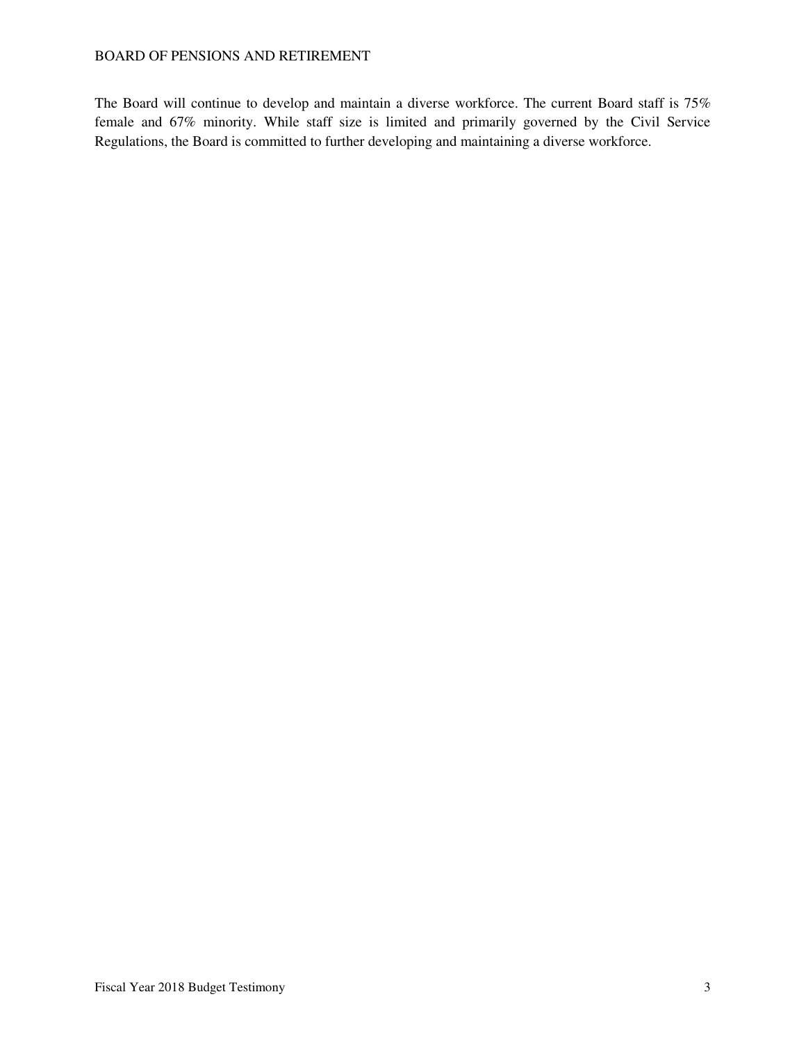The Board will continue to develop and maintain a diverse workforce. The current Board staff is 75% female and 67% minority. While staff size is limited and primarily governed by the Civil Service Regulations, the Board is committed to further developing and maintaining a diverse workforce.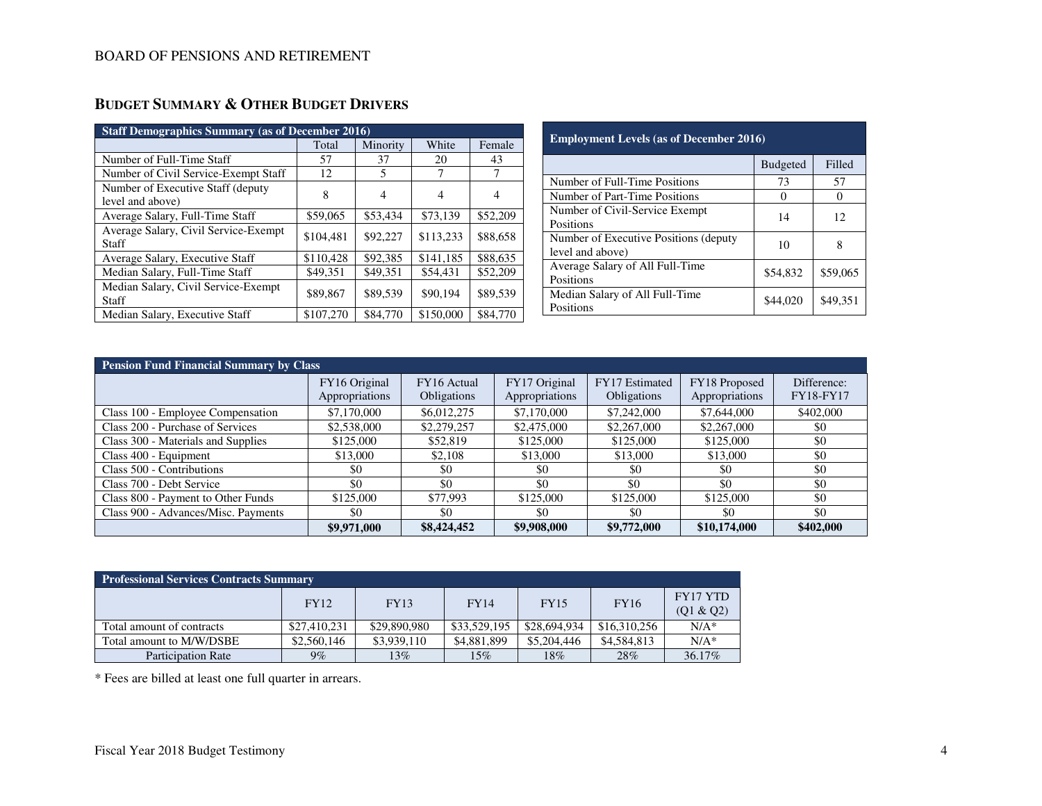| <b>Staff Demographics Summary (as of December 2016)</b> |           |          |           |          |  |  |  |  |  |
|---------------------------------------------------------|-----------|----------|-----------|----------|--|--|--|--|--|
|                                                         | Total     | Minority | White     | Female   |  |  |  |  |  |
| Number of Full-Time Staff                               | 57        | 37       | 20        | 43       |  |  |  |  |  |
| Number of Civil Service-Exempt Staff                    | 12        | 5        | 7         | 7        |  |  |  |  |  |
| Number of Executive Staff (deputy)<br>level and above)  | 8         | 4        | 4         | 4        |  |  |  |  |  |
| Average Salary, Full-Time Staff                         | \$59,065  | \$53,434 | \$73.139  | \$52,209 |  |  |  |  |  |
| Average Salary, Civil Service-Exempt<br>Staff           | \$104,481 | \$92,227 | \$113,233 | \$88,658 |  |  |  |  |  |
| Average Salary, Executive Staff                         | \$110,428 | \$92,385 | \$141,185 | \$88,635 |  |  |  |  |  |
| Median Salary, Full-Time Staff                          | \$49,351  | \$49,351 | \$54,431  | \$52,209 |  |  |  |  |  |
| Median Salary, Civil Service-Exempt<br>Staff            | \$89,867  | \$89,539 | \$90,194  | \$89,539 |  |  |  |  |  |
| Median Salary, Executive Staff                          | \$107,270 | \$84,770 | \$150,000 | \$84,770 |  |  |  |  |  |

| <b>Employment Levels (as of December 2016)</b>             |                 |          |  |  |  |  |  |
|------------------------------------------------------------|-----------------|----------|--|--|--|--|--|
|                                                            | <b>Budgeted</b> | Filled   |  |  |  |  |  |
| Number of Full-Time Positions                              | 73              | 57       |  |  |  |  |  |
| Number of Part-Time Positions                              |                 | 0        |  |  |  |  |  |
| Number of Civil-Service Exempt<br>Positions                | 14              | 12       |  |  |  |  |  |
| Number of Executive Positions (deputy)<br>level and above) | 10              | 8        |  |  |  |  |  |
| Average Salary of All Full-Time<br>Positions               | \$54,832        | \$59,065 |  |  |  |  |  |
| Median Salary of All Full-Time<br>Positions                | \$44,020        | \$49,351 |  |  |  |  |  |

a sa kabila sa kasang sa kalawang sa kasang sa kasang sa kasang sa kasang sa kasang sa kasang sa kasang sa kas

| <b>Pension Fund Financial Summary by Class</b> |                |             |                |                    |                |             |  |  |  |  |
|------------------------------------------------|----------------|-------------|----------------|--------------------|----------------|-------------|--|--|--|--|
|                                                | FY16 Original  | FY16 Actual | FY17 Original  | FY17 Estimated     | FY18 Proposed  | Difference: |  |  |  |  |
|                                                | Appropriations | Obligations | Appropriations | <b>Obligations</b> | Appropriations | FY18-FY17   |  |  |  |  |
| Class 100 - Employee Compensation              | \$7,170,000    | \$6,012,275 | \$7,170,000    | \$7,242,000        | \$7,644,000    | \$402,000   |  |  |  |  |
| Class 200 - Purchase of Services               | \$2,538,000    | \$2,279,257 | \$2,475,000    | \$2,267,000        | \$2,267,000    | \$0         |  |  |  |  |
| Class 300 - Materials and Supplies             | \$125,000      | \$52,819    | \$125,000      | \$125,000          | \$125,000      | \$0         |  |  |  |  |
| Class 400 - Equipment                          | \$13,000       | \$2,108     | \$13,000       | \$13,000           | \$13,000       | \$0         |  |  |  |  |
| Class 500 - Contributions                      | \$0            | \$0         | \$0            | \$0                | \$0            | \$0         |  |  |  |  |
| Class 700 - Debt Service                       | \$0            | \$0         | \$0            | \$0                | \$0            | \$0         |  |  |  |  |
| Class 800 - Payment to Other Funds             | \$125,000      | \$77,993    | \$125,000      | \$125,000          | \$125,000      | \$0         |  |  |  |  |
| Class 900 - Advances/Misc. Payments            | \$0            | \$0         | \$0            | \$0                | \$0            | \$0         |  |  |  |  |
|                                                | \$9,971,000    | \$8,424,452 | \$9,908,000    | \$9,772,000        | \$10,174,000   | \$402,000   |  |  |  |  |

| <b>Professional Services Contracts Summary</b> |              |              |              |              |              |                              |  |  |  |
|------------------------------------------------|--------------|--------------|--------------|--------------|--------------|------------------------------|--|--|--|
|                                                | <b>FY12</b>  | FY13         | <b>FY14</b>  | <b>FY15</b>  | <b>FY16</b>  | <b>FY17 YTD</b><br>(Q1 & Q2) |  |  |  |
| Total amount of contracts                      | \$27,410,231 | \$29,890,980 | \$33,529,195 | \$28,694,934 | \$16,310,256 | $N/A^*$                      |  |  |  |
| Total amount to M/W/DSBE                       | \$2,560,146  | \$3,939,110  | \$4,881,899  | \$5,204,446  | \$4,584,813  | $N/A^*$                      |  |  |  |
| <b>Participation Rate</b>                      | $9\%$        | 13%          | 15%          | 18%          | 28%          | 36.17%                       |  |  |  |

\* Fees are billed at least one full quarter in arrears.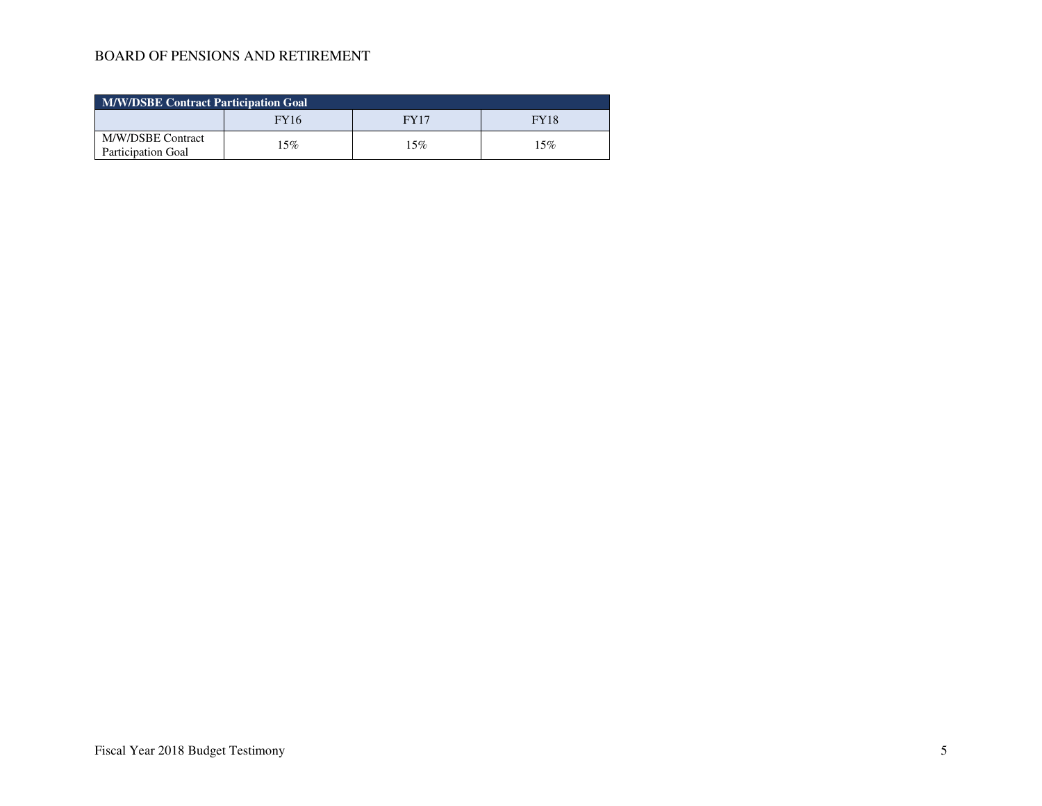| <b>M/W/DSBE Contract Participation Goal</b>    |             |      |             |  |  |  |  |
|------------------------------------------------|-------------|------|-------------|--|--|--|--|
|                                                | <b>FY16</b> | FY17 | <b>FY18</b> |  |  |  |  |
| M/W/DSBE Contract<br><b>Participation Goal</b> | 15%         | 15%  | 15%         |  |  |  |  |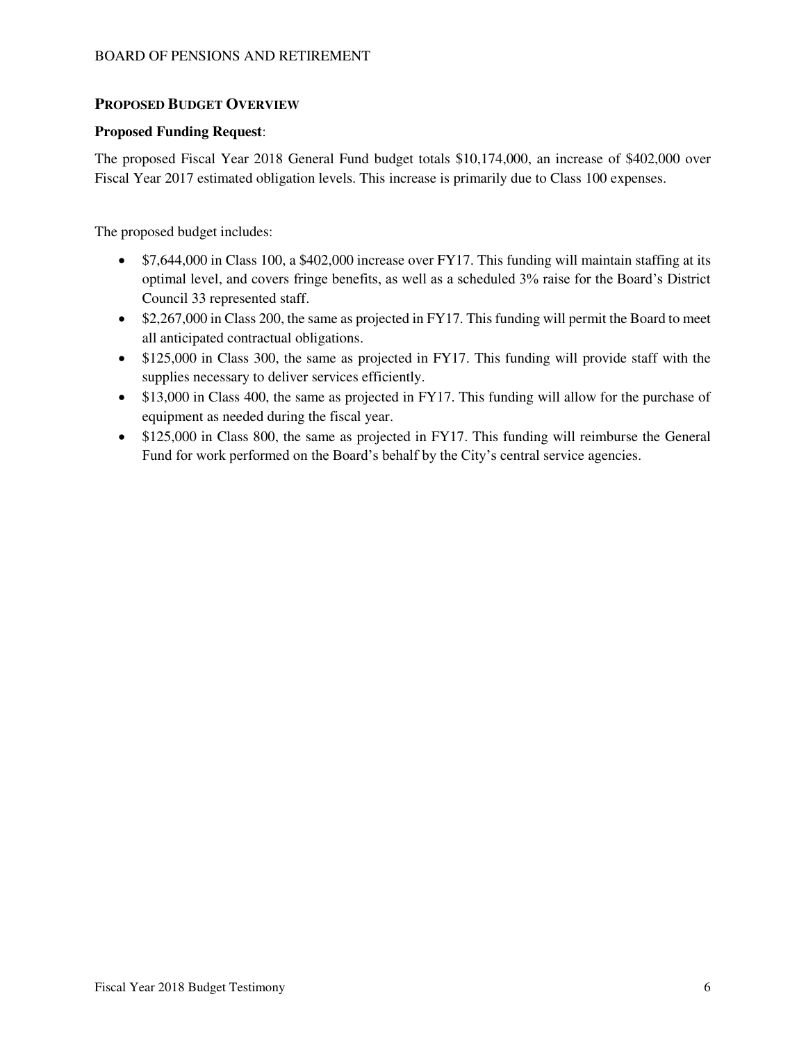## **PROPOSED BUDGET OVERVIEW**

#### **Proposed Funding Request**:

The proposed Fiscal Year 2018 General Fund budget totals \$10,174,000, an increase of \$402,000 over Fiscal Year 2017 estimated obligation levels. This increase is primarily due to Class 100 expenses.

The proposed budget includes:

- \$7,644,000 in Class 100, a \$402,000 increase over FY17. This funding will maintain staffing at its optimal level, and covers fringe benefits, as well as a scheduled 3% raise for the Board's District Council 33 represented staff.
- \$2,267,000 in Class 200, the same as projected in FY17. This funding will permit the Board to meet all anticipated contractual obligations.
- \$125,000 in Class 300, the same as projected in FY17. This funding will provide staff with the supplies necessary to deliver services efficiently.
- \$13,000 in Class 400, the same as projected in FY17. This funding will allow for the purchase of equipment as needed during the fiscal year.
- \$125,000 in Class 800, the same as projected in FY17. This funding will reimburse the General Fund for work performed on the Board's behalf by the City's central service agencies.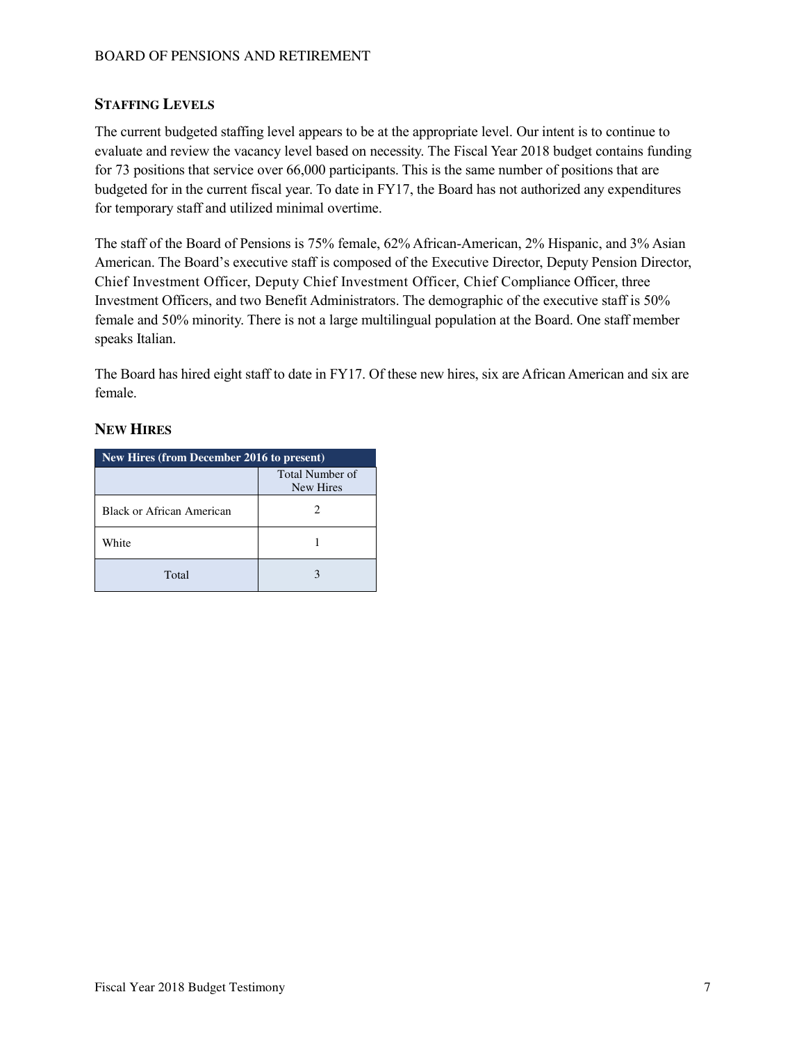## **STAFFING LEVELS**

The current budgeted staffing level appears to be at the appropriate level. Our intent is to continue to evaluate and review the vacancy level based on necessity. The Fiscal Year 2018 budget contains funding for 73 positions that service over 66,000 participants. This is the same number of positions that are budgeted for in the current fiscal year. To date in FY17, the Board has not authorized any expenditures for temporary staff and utilized minimal overtime.

The staff of the Board of Pensions is 75% female, 62% African-American, 2% Hispanic, and 3% Asian American. The Board's executive staff is composed of the Executive Director, Deputy Pension Director, Chief Investment Officer, Deputy Chief Investment Officer, Chief Compliance Officer, three Investment Officers, and two Benefit Administrators. The demographic of the executive staff is 50% female and 50% minority. There is not a large multilingual population at the Board. One staff member speaks Italian.

The Board has hired eight staff to date in FY17. Of these new hires, six are African American and six are female.

### **NEW HIRES**

| New Hires (from December 2016 to present) |                              |  |  |  |  |  |
|-------------------------------------------|------------------------------|--|--|--|--|--|
|                                           | Total Number of<br>New Hires |  |  |  |  |  |
| Black or African American                 |                              |  |  |  |  |  |
| White                                     |                              |  |  |  |  |  |
| Total                                     |                              |  |  |  |  |  |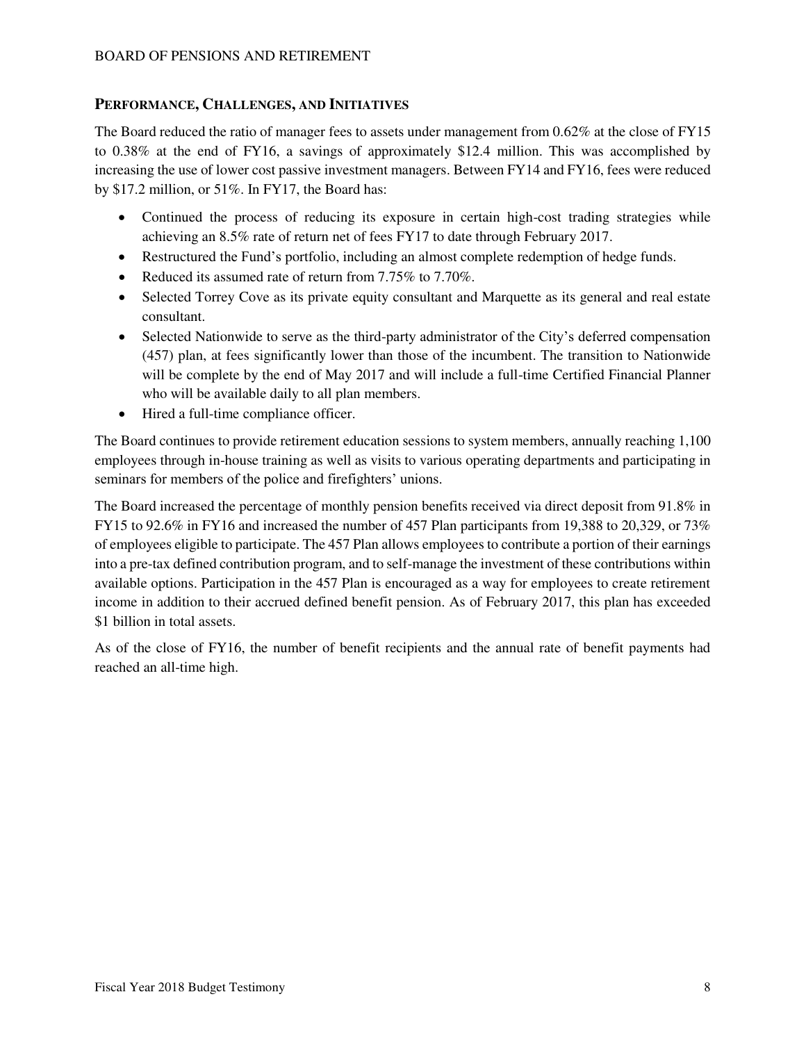### **PERFORMANCE, CHALLENGES, AND INITIATIVES**

The Board reduced the ratio of manager fees to assets under management from 0.62% at the close of FY15 to 0.38% at the end of FY16, a savings of approximately \$12.4 million. This was accomplished by increasing the use of lower cost passive investment managers. Between FY14 and FY16, fees were reduced by \$17.2 million, or 51%. In FY17, the Board has:

- Continued the process of reducing its exposure in certain high-cost trading strategies while achieving an 8.5% rate of return net of fees FY17 to date through February 2017.
- Restructured the Fund's portfolio, including an almost complete redemption of hedge funds.
- Reduced its assumed rate of return from 7.75% to 7.70%.
- Selected Torrey Cove as its private equity consultant and Marquette as its general and real estate consultant.
- Selected Nationwide to serve as the third-party administrator of the City's deferred compensation (457) plan, at fees significantly lower than those of the incumbent. The transition to Nationwide will be complete by the end of May 2017 and will include a full-time Certified Financial Planner who will be available daily to all plan members.
- Hired a full-time compliance officer.

The Board continues to provide retirement education sessions to system members, annually reaching 1,100 employees through in-house training as well as visits to various operating departments and participating in seminars for members of the police and firefighters' unions.

The Board increased the percentage of monthly pension benefits received via direct deposit from 91.8% in FY15 to 92.6% in FY16 and increased the number of 457 Plan participants from 19,388 to 20,329, or 73% of employees eligible to participate. The 457 Plan allows employees to contribute a portion of their earnings into a pre-tax defined contribution program, and to self-manage the investment of these contributions within available options. Participation in the 457 Plan is encouraged as a way for employees to create retirement income in addition to their accrued defined benefit pension. As of February 2017, this plan has exceeded \$1 billion in total assets.

As of the close of FY16, the number of benefit recipients and the annual rate of benefit payments had reached an all-time high.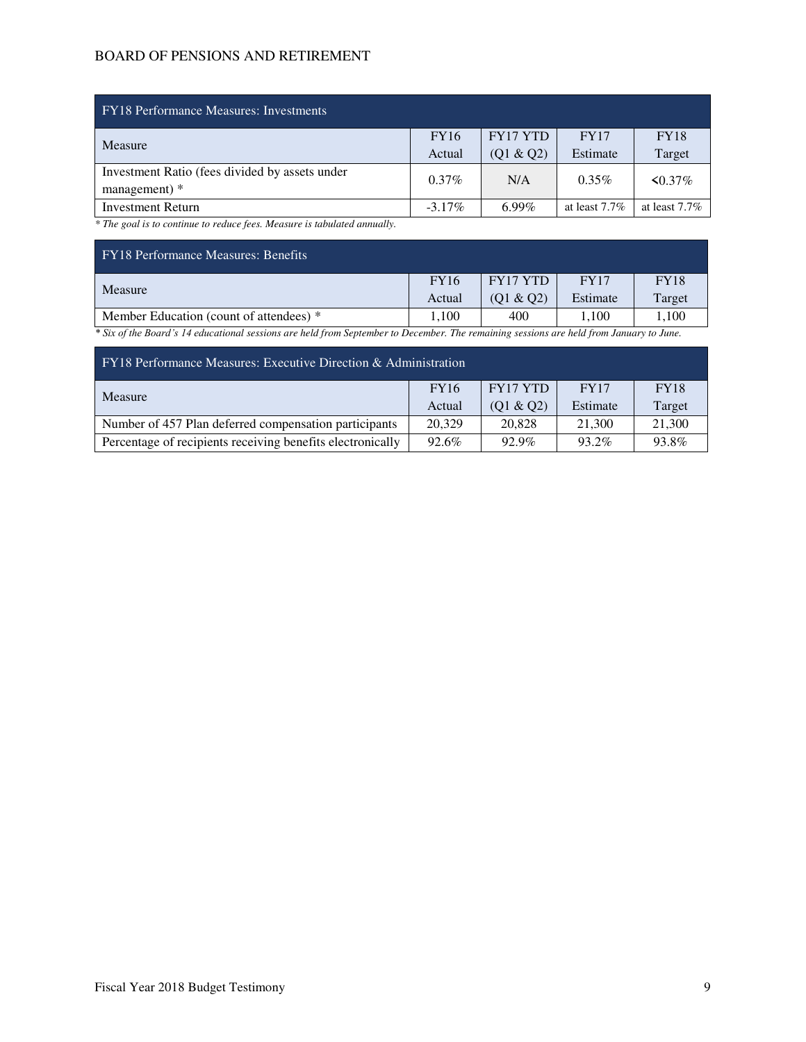| <b>FY18</b> Performance Measures: Investments  |             |                 |                  |                  |  |  |  |
|------------------------------------------------|-------------|-----------------|------------------|------------------|--|--|--|
| Measure                                        | <b>FY16</b> | <b>FY17 YTD</b> | <b>FY17</b>      | <b>FY18</b>      |  |  |  |
|                                                | Actual      | (01 & 02)       | Estimate         | Target           |  |  |  |
| Investment Ratio (fees divided by assets under | $0.37\%$    | N/A             | $0.35\%$         | $\leq 0.37\%$    |  |  |  |
| management) *                                  |             |                 |                  |                  |  |  |  |
| <b>Investment Return</b>                       | $-3.17\%$   | $6.99\%$        | at least $7.7\%$ | at least $7.7\%$ |  |  |  |

*\* The goal is to continue to reduce fees. Measure is tabulated annually.*

| <b>FY18 Performance Measures: Benefits</b>                                                                                              |             |           |             |             |  |  |  |  |
|-----------------------------------------------------------------------------------------------------------------------------------------|-------------|-----------|-------------|-------------|--|--|--|--|
| Measure                                                                                                                                 | <b>FY16</b> | FY17 YTD  | <b>FY17</b> | <b>FY18</b> |  |  |  |  |
|                                                                                                                                         | Actual      | (01 & 02) | Estimate    | Target      |  |  |  |  |
| Member Education (count of attendees) *                                                                                                 | 1.100       | 400       | 1.100       | 1.100       |  |  |  |  |
| * Six of the Board's 14 educational sessions are held from September to December. The remaining sessions are held from January to June. |             |           |             |             |  |  |  |  |

| $\mathbf{FY}$ 18 Performance Measures: Executive Direction & Administration |             |           |             |             |  |  |  |  |
|-----------------------------------------------------------------------------|-------------|-----------|-------------|-------------|--|--|--|--|
| Measure                                                                     | <b>FY16</b> | FY17 YTD  | <b>FY17</b> | <b>FY18</b> |  |  |  |  |
|                                                                             | Actual      | (01 & 02) | Estimate    | Target      |  |  |  |  |
| Number of 457 Plan deferred compensation participants                       | 20,329      | 20,828    | 21.300      | 21,300      |  |  |  |  |
| Percentage of recipients receiving benefits electronically                  | 92.6%       | $92.9\%$  | 93.2%       | 93.8%       |  |  |  |  |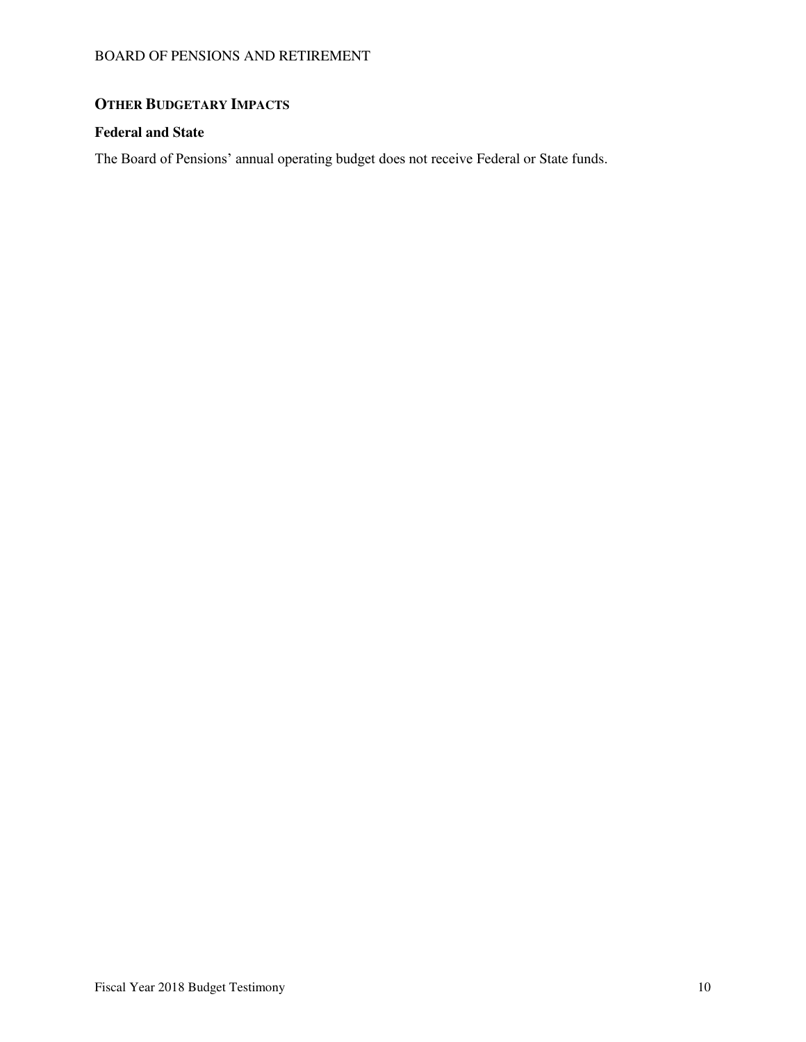# **OTHER BUDGETARY IMPACTS**

### **Federal and State**

The Board of Pensions' annual operating budget does not receive Federal or State funds.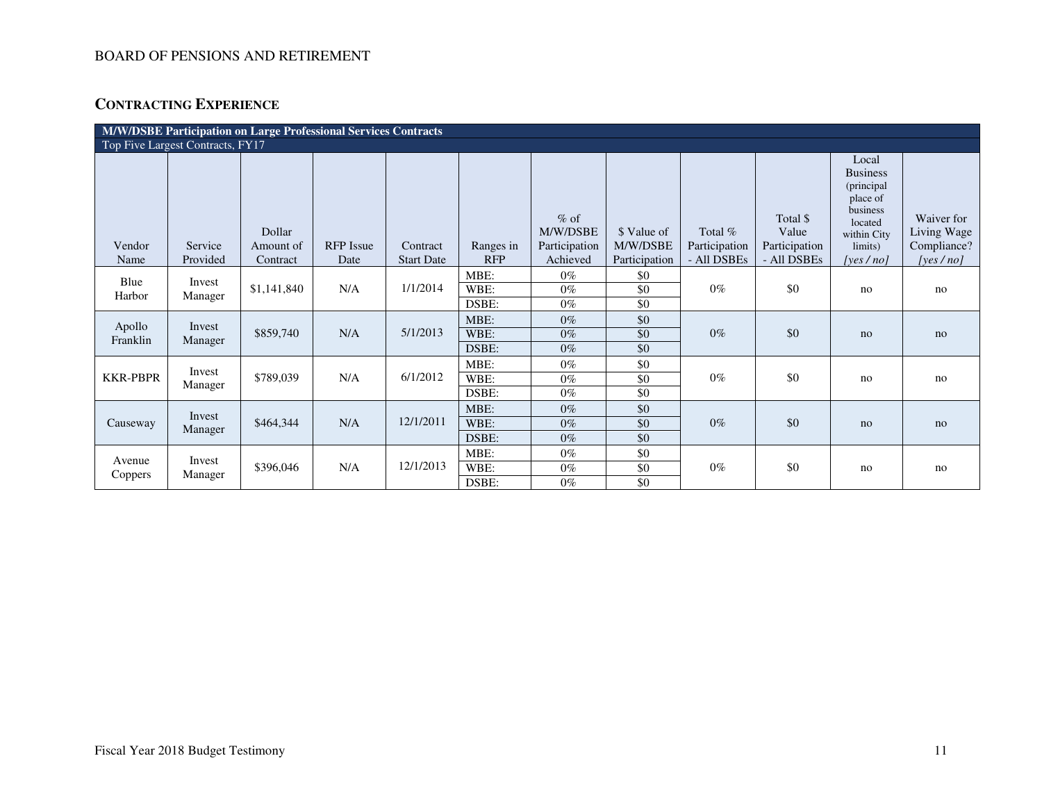# **CONTRACTING EXPERIENCE**

| <b>M/W/DSBE Participation on Large Professional Services Contracts</b> |                                  |                                 |                          |                               |                         |                                                 |                                          |                                           |                                                   |                                                                                                                                     |                                                          |
|------------------------------------------------------------------------|----------------------------------|---------------------------------|--------------------------|-------------------------------|-------------------------|-------------------------------------------------|------------------------------------------|-------------------------------------------|---------------------------------------------------|-------------------------------------------------------------------------------------------------------------------------------------|----------------------------------------------------------|
|                                                                        | Top Five Largest Contracts, FY17 |                                 |                          |                               |                         |                                                 |                                          |                                           |                                                   |                                                                                                                                     |                                                          |
| Vendor<br>Name                                                         | Service<br>Provided              | Dollar<br>Amount of<br>Contract | <b>RFP</b> Issue<br>Date | Contract<br><b>Start Date</b> | Ranges in<br><b>RFP</b> | $%$ of<br>M/W/DSBE<br>Participation<br>Achieved | \$ Value of<br>M/W/DSBE<br>Participation | Total $%$<br>Participation<br>- All DSBEs | Total \$<br>Value<br>Participation<br>- All DSBEs | Local<br><b>Business</b><br>(principal<br>place of<br>business<br>located<br>within City<br>limits)<br>[yes $/$ no $\overline{I}$ ] | Waiver for<br>Living Wage<br>Compliance?<br>[yes $/no$ ] |
|                                                                        |                                  |                                 |                          |                               | MBE:                    | $0\%$                                           | \$0                                      |                                           |                                                   |                                                                                                                                     |                                                          |
| Blue<br>Harbor                                                         | Invest<br>Manager                | \$1,141,840                     | N/A                      | 1/1/2014                      | WBE:<br>DSBE:           | $0\%$<br>$0\%$                                  | \$0<br>\$0                               | $0\%$                                     | \$0                                               | no                                                                                                                                  | no                                                       |
| Apollo<br>Franklin                                                     | Invest<br>Manager                | \$859,740                       | N/A                      | 5/1/2013                      | MBE:<br>WBE:<br>DSBE:   | $0\%$<br>$0\%$<br>$0\%$                         | \$0<br>\$0<br>\$0                        | $0\%$                                     | \$0                                               | no                                                                                                                                  | no                                                       |
| <b>KKR-PBPR</b>                                                        | Invest<br>Manager                | \$789,039                       | N/A                      | 6/1/2012                      | MBE:<br>WBE:<br>DSBE:   | $0\%$<br>$0\%$<br>$0\%$                         | \$0<br>\$0<br>\$0                        | $0\%$                                     | \$0                                               | no                                                                                                                                  | no                                                       |
| Causeway                                                               | Invest<br>Manager                | \$464,344                       | N/A                      | 12/1/2011                     | MBE:<br>WBE:<br>DSBE:   | $0\%$<br>$0\%$<br>$0\%$                         | \$0<br>\$0<br>\$0                        | $0\%$                                     | \$0                                               | no                                                                                                                                  | no                                                       |
| Avenue<br>Coppers                                                      | Invest<br>Manager                | \$396,046                       | N/A                      | 12/1/2013                     | MBE:<br>WBE:<br>DSBE:   | $0\%$<br>$0\%$<br>$0\%$                         | \$0<br>\$0<br>\$0                        | $0\%$                                     | \$0                                               | no                                                                                                                                  | no                                                       |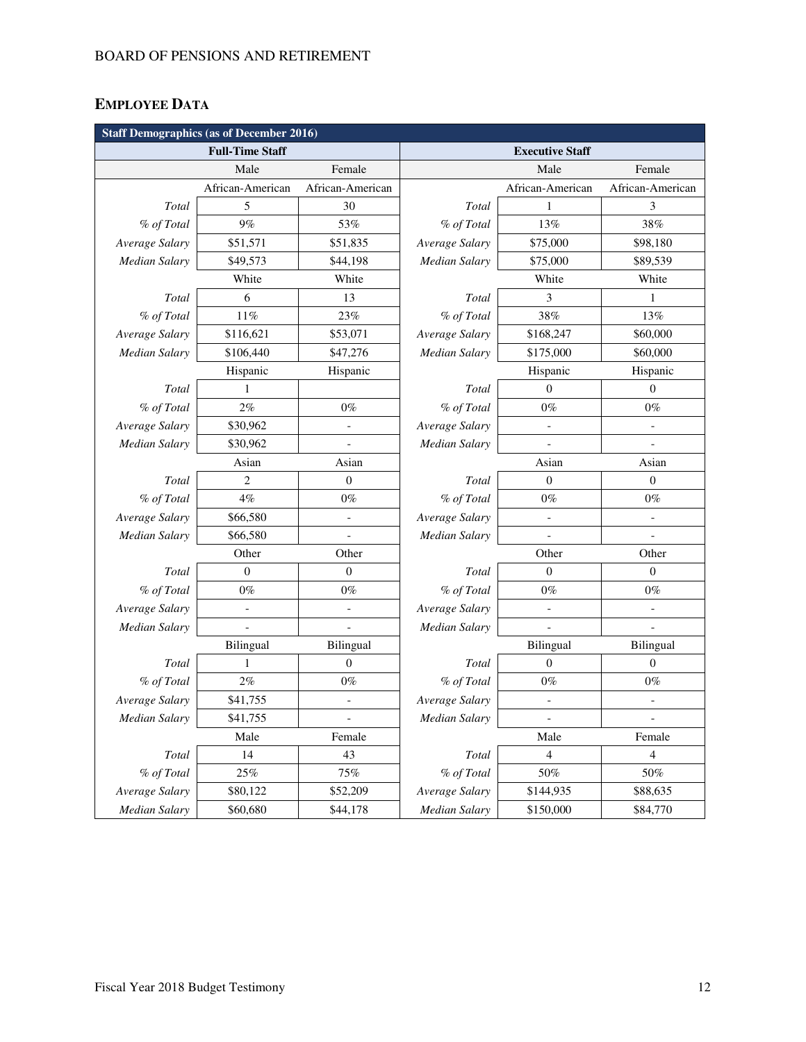# **EMPLOYEE DATA**

| <b>Staff Demographics (as of December 2016)</b> |                          |                          |                      |                              |                          |  |  |  |
|-------------------------------------------------|--------------------------|--------------------------|----------------------|------------------------------|--------------------------|--|--|--|
|                                                 | <b>Full-Time Staff</b>   |                          |                      | <b>Executive Staff</b>       |                          |  |  |  |
|                                                 | Male                     | Female                   |                      | Male                         | Female                   |  |  |  |
|                                                 | African-American         | African-American         |                      | African-American             | African-American         |  |  |  |
| Total                                           | 5                        | 30                       | Total                | $\mathbf{1}$                 | 3                        |  |  |  |
| % of Total                                      | 9%                       | 53%                      | % of Total           | 13%                          | 38%                      |  |  |  |
| Average Salary                                  | \$51,571                 | \$51,835                 | Average Salary       | \$75,000                     | \$98,180                 |  |  |  |
| <b>Median Salary</b>                            | \$49,573                 | \$44,198                 | <b>Median Salary</b> | \$75,000                     | \$89,539                 |  |  |  |
|                                                 | White                    | White                    |                      | White                        | White                    |  |  |  |
| Total                                           | 6                        | 13                       | Total                | 3                            | $\mathbf{1}$             |  |  |  |
| % of Total                                      | 11%                      | 23%                      | % of Total           | 38%                          | 13%                      |  |  |  |
| Average Salary                                  | \$116,621                | \$53,071                 | Average Salary       | \$168,247                    | \$60,000                 |  |  |  |
| <b>Median Salary</b>                            | \$106,440                | \$47,276                 | <b>Median Salary</b> | \$175,000                    | \$60,000                 |  |  |  |
|                                                 | Hispanic                 | Hispanic                 |                      | Hispanic                     | Hispanic                 |  |  |  |
| Total                                           | 1                        |                          | Total                | $\Omega$                     | $\overline{0}$           |  |  |  |
| % of Total                                      | $2\%$                    | $0\%$                    | % of Total           | $0\%$                        | $0\%$                    |  |  |  |
| Average Salary                                  | \$30,962                 | $\qquad \qquad -$        | Average Salary       | $\qquad \qquad \blacksquare$ | $\qquad \qquad -$        |  |  |  |
| <b>Median Salary</b>                            | \$30,962                 | $\overline{a}$           | <b>Median Salary</b> |                              |                          |  |  |  |
|                                                 | Asian                    | Asian                    |                      | Asian                        | Asian                    |  |  |  |
| Total                                           | 2                        | $\overline{0}$           | Total                | $\Omega$                     | $\theta$                 |  |  |  |
| % of Total                                      | $4\%$                    | $0\%$                    | % of Total           | $0\%$                        | $0\%$                    |  |  |  |
| Average Salary                                  | \$66,580                 | $\overline{a}$           | Average Salary       |                              |                          |  |  |  |
| <b>Median Salary</b>                            | \$66,580                 | $\frac{1}{2}$            | <b>Median Salary</b> |                              |                          |  |  |  |
|                                                 | Other                    | Other                    |                      | Other                        | Other                    |  |  |  |
| Total                                           | $\Omega$                 | $\overline{0}$           | Total                | $\Omega$                     | $\overline{0}$           |  |  |  |
| % of Total                                      | $0\%$                    | $0\%$                    | % of Total           | $0\%$                        | $0\%$                    |  |  |  |
| Average Salary                                  | $\overline{\phantom{a}}$ | $\overline{\phantom{a}}$ | Average Salary       | $\blacksquare$               | $\overline{a}$           |  |  |  |
| <b>Median Salary</b>                            |                          |                          | <b>Median Salary</b> |                              |                          |  |  |  |
|                                                 | Bilingual                | Bilingual                |                      | Bilingual                    | Bilingual                |  |  |  |
| Total                                           | 1                        | $\boldsymbol{0}$         | Total                | $\theta$                     | $\boldsymbol{0}$         |  |  |  |
| % of Total                                      | $2\%$                    | $0\%$                    | % of Total           | $0\%$                        | $0\%$                    |  |  |  |
| Average Salary                                  | \$41,755                 | $\frac{1}{2}$            | Average Salary       |                              |                          |  |  |  |
| <b>Median Salary</b>                            | \$41,755                 | $\overline{\phantom{a}}$ | Median Salary        | $\qquad \qquad -$            | $\overline{\phantom{a}}$ |  |  |  |
|                                                 | Male                     | Female                   |                      | Male                         | Female                   |  |  |  |
| Total                                           | 14                       | 43                       | Total                | 4                            | $\overline{4}$           |  |  |  |
| % of Total                                      | $25\%$                   | $75\%$                   | % of Total           | 50%                          | 50%                      |  |  |  |
| Average Salary                                  | \$80,122                 | \$52,209                 | Average Salary       | \$144,935                    | \$88,635                 |  |  |  |
| <b>Median Salary</b>                            | \$60,680                 | \$44,178                 | <b>Median Salary</b> | \$150,000                    | \$84,770                 |  |  |  |